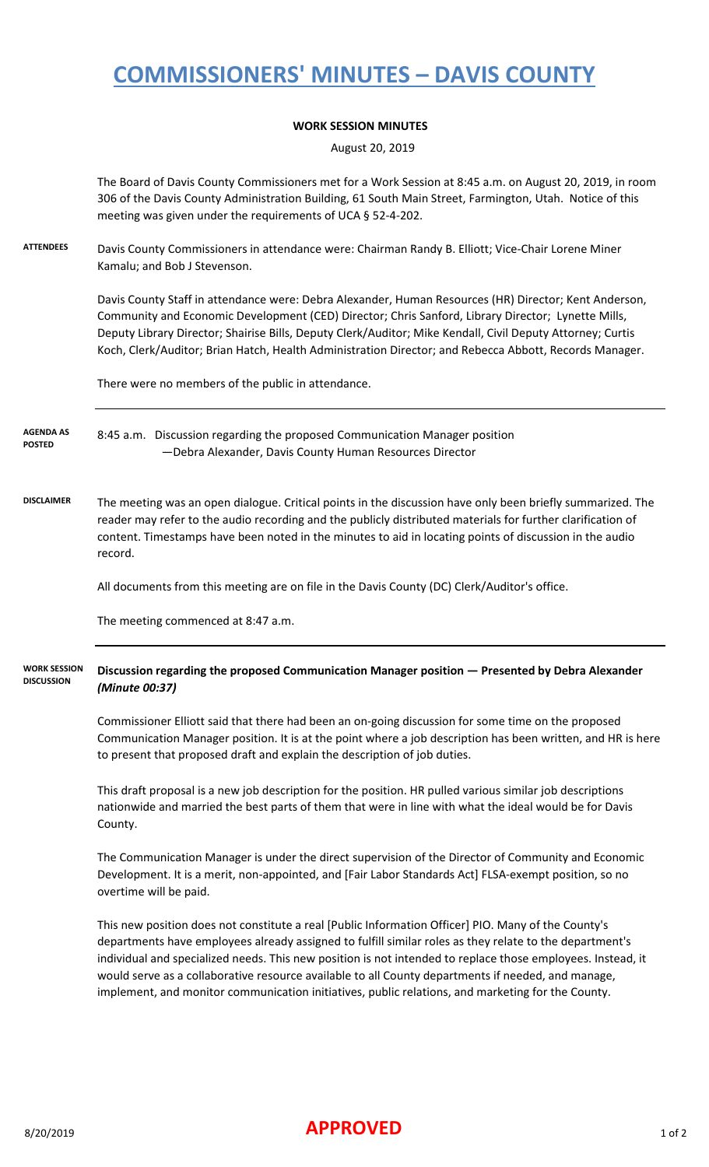## **COMMISSIONERS' MINUTES – DAVIS COUNTY**

### **WORK SESSION MINUTES**

August 20, 2019

The Board of Davis County Commissioners met for a Work Session at 8:45 a.m. on August 20, 2019, in room 306 of the Davis County Administration Building, 61 South Main Street, Farmington, Utah. Notice of this meeting was given under the requirements of UCA § 52-4-202.

**ATTENDEES** Davis County Commissioners in attendance were: Chairman Randy B. Elliott; Vice-Chair Lorene Miner Kamalu; and Bob J Stevenson.

> Davis County Staff in attendance were: Debra Alexander, Human Resources (HR) Director; Kent Anderson, Community and Economic Development (CED) Director; Chris Sanford, Library Director; Lynette Mills, Deputy Library Director; Shairise Bills, Deputy Clerk/Auditor; Mike Kendall, Civil Deputy Attorney; Curtis Koch, Clerk/Auditor; Brian Hatch, Health Administration Director; and Rebecca Abbott, Records Manager.

There were no members of the public in attendance.

8:45 a.m. Discussion regarding the proposed Communication Manager position —Debra Alexander, Davis County Human Resources Director **AGENDA AS POSTED**

**DISCLAIMER** The meeting was an open dialogue. Critical points in the discussion have only been briefly summarized. The reader may refer to the audio recording and the publicly distributed materials for further clarification of content. Timestamps have been noted in the minutes to aid in locating points of discussion in the audio record.

All documents from this meeting are on file in the Davis County (DC) Clerk/Auditor's office.

The meeting commenced at 8:47 a.m.

#### **Discussion regarding the proposed Communication Manager position — Presented by Debra Alexander**  *(Minute 00:37)* **WORK SESSION DISCUSSION**

Commissioner Elliott said that there had been an on-going discussion for some time on the proposed Communication Manager position. It is at the point where a job description has been written, and HR is here to present that proposed draft and explain the description of job duties.

This draft proposal is a new job description for the position. HR pulled various similar job descriptions nationwide and married the best parts of them that were in line with what the ideal would be for Davis County.

The Communication Manager is under the direct supervision of the Director of Community and Economic Development. It is a merit, non-appointed, and [Fair Labor Standards Act] FLSA-exempt position, so no overtime will be paid.

This new position does not constitute a real [Public Information Officer] PIO. Many of the County's departments have employees already assigned to fulfill similar roles as they relate to the department's individual and specialized needs. This new position is not intended to replace those employees. Instead, it would serve as a collaborative resource available to all County departments if needed, and manage, implement, and monitor communication initiatives, public relations, and marketing for the County.

### 8/20/2019 **APPROVED** 1 of 2